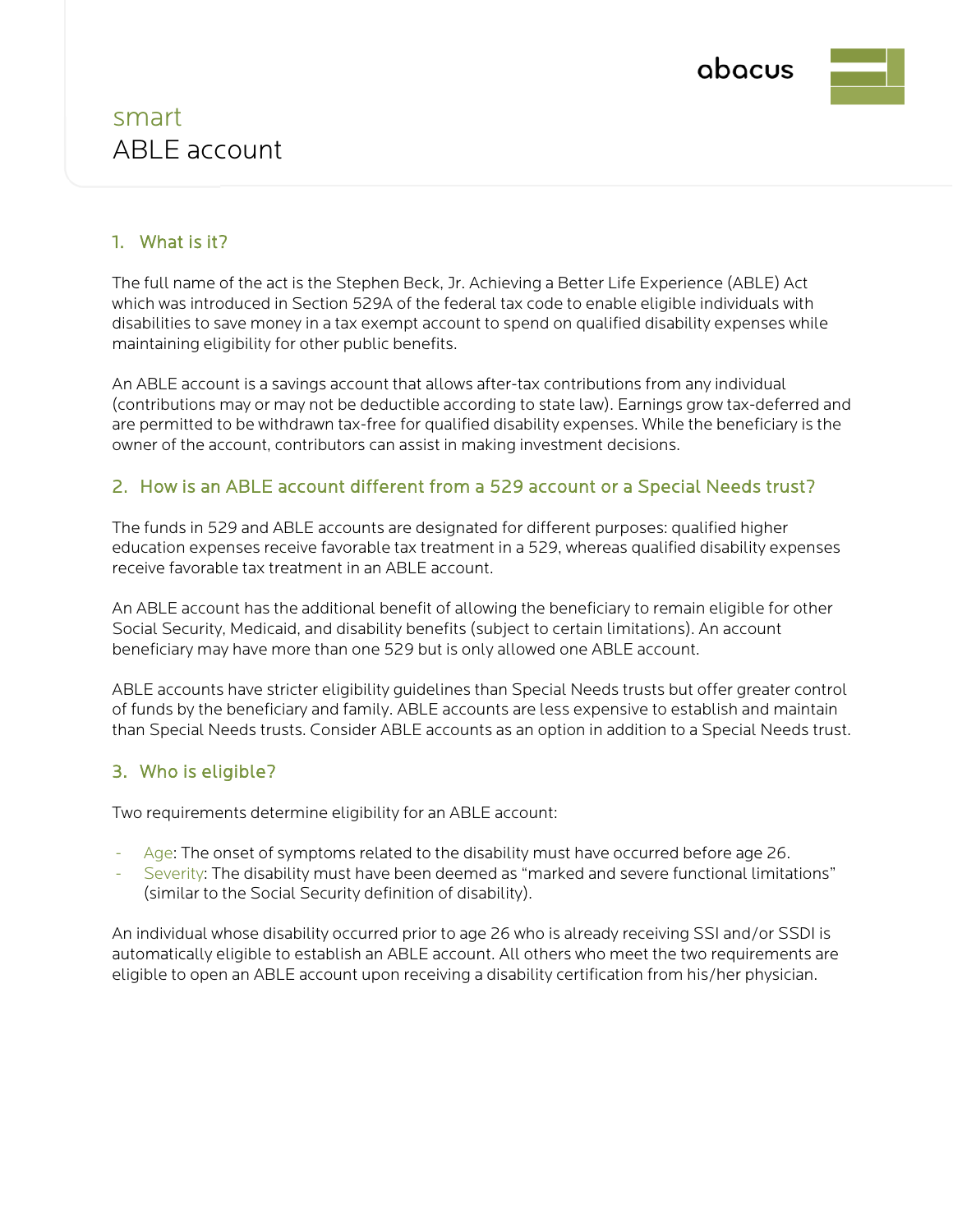

## smart ABLE account

#### 1. What is it?

The full name of the act is the Stephen Beck, Jr. Achieving a Better Life Experience (ABLE) Act which was introduced in Section 529A of the federal tax code to enable eligible individuals with disabilities to save money in a tax exempt account to spend on qualified disability expenses while maintaining eligibility for other public benefits.

An ABLE account is a savings account that allows after-tax contributions from any individual (contributions may or may not be deductible according to state law). Earnings grow tax-deferred and are permitted to be withdrawn tax-free for qualified disability expenses. While the beneficiary is the owner of the account, contributors can assist in making investment decisions.

#### 2. How is an ABLE account different from a 529 account or a Special Needs trust?

The funds in 529 and ABLE accounts are designated for different purposes: qualified higher education expenses receive favorable tax treatment in a 529, whereas qualified disability expenses receive favorable tax treatment in an ABLE account.

An ABLE account has the additional benefit of allowing the beneficiary to remain eligible for other Social Security, Medicaid, and disability benefits (subject to certain limitations). An account beneficiary may have more than one 529 but is only allowed one ABLE account.

ABLE accounts have stricter eligibility guidelines than Special Needs trusts but offer greater control of funds by the beneficiary and family. ABLE accounts are less expensive to establish and maintain than Special Needs trusts. Consider ABLE accounts as an option in addition to a Special Needs trust.

#### 3. Who is eligible?

Two requirements determine eligibility for an ABLE account:

- Age: The onset of symptoms related to the disability must have occurred before age 26.
- Severity: The disability must have been deemed as "marked and severe functional limitations" (similar to the Social Security definition of disability).

An individual whose disability occurred prior to age 26 who is already receiving SSI and/or SSDI is automatically eligible to establish an ABLE account. All others who meet the two requirements are eligible to open an ABLE account upon receiving a disability certification from his/her physician.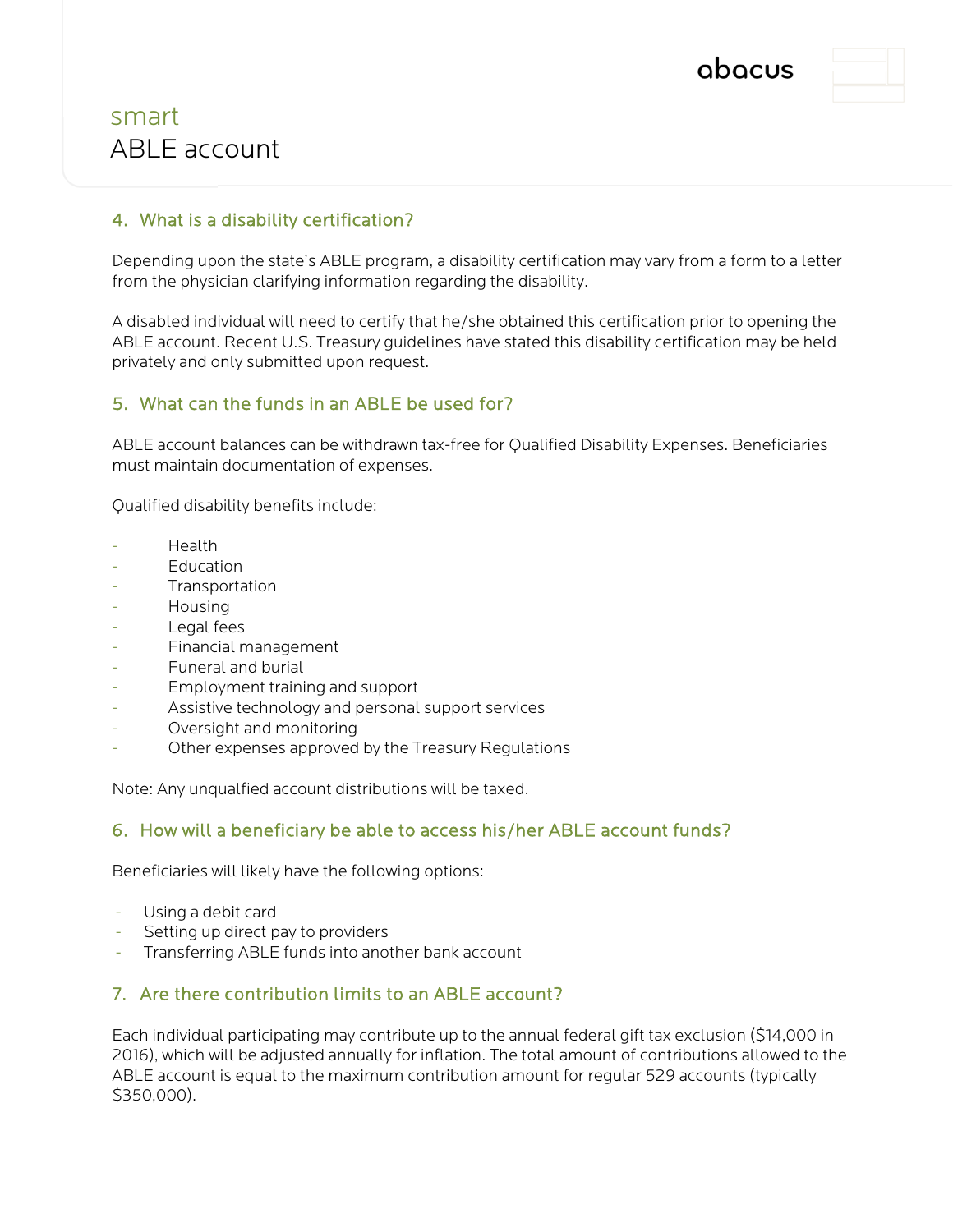

## smart ABLE account

#### 4. What is a disability certification?

Depending upon the state's ABLE program, a disability certification may vary from a form to a letter from the physician clarifying information regarding the disability.

A disabled individual will need to certify that he/she obtained this certification prior to opening the ABLE account. Recent U.S. Treasury guidelines have stated this disability certification may be held privately and only submitted upon request.

#### 5. What can the funds in an ABLE be used for?

ABLE account balances can be withdrawn tax-free for Qualified Disability Expenses. Beneficiaries must maintain documentation of expenses.

Qualified disability benefits include:

- Health
- **Education**
- **Transportation**
- Housing
- Legal fees
- Financial management
- Funeral and burial
- Employment training and support
- Assistive technology and personal support services
- Oversight and monitoring
- Other expenses approved by the Treasury Regulations

Note: Any unqualfied account distributions will be taxed.

#### 6. How will a beneficiary be able to access his/her ABLE account funds?

Beneficiaries will likely have the following options:

- Using a debit card
- Setting up direct pay to providers
- Transferring ABLE funds into another bank account

#### 7. Are there contribution limits to an ABLE account?

Each individual participating may contribute up to the annual federal gift tax exclusion (\$14,000 in 2016), which will be adjusted annually for inflation. The total amount of contributions allowed to the ABLE account is equal to the maximum contribution amount for regular 529 accounts (typically \$350,000).